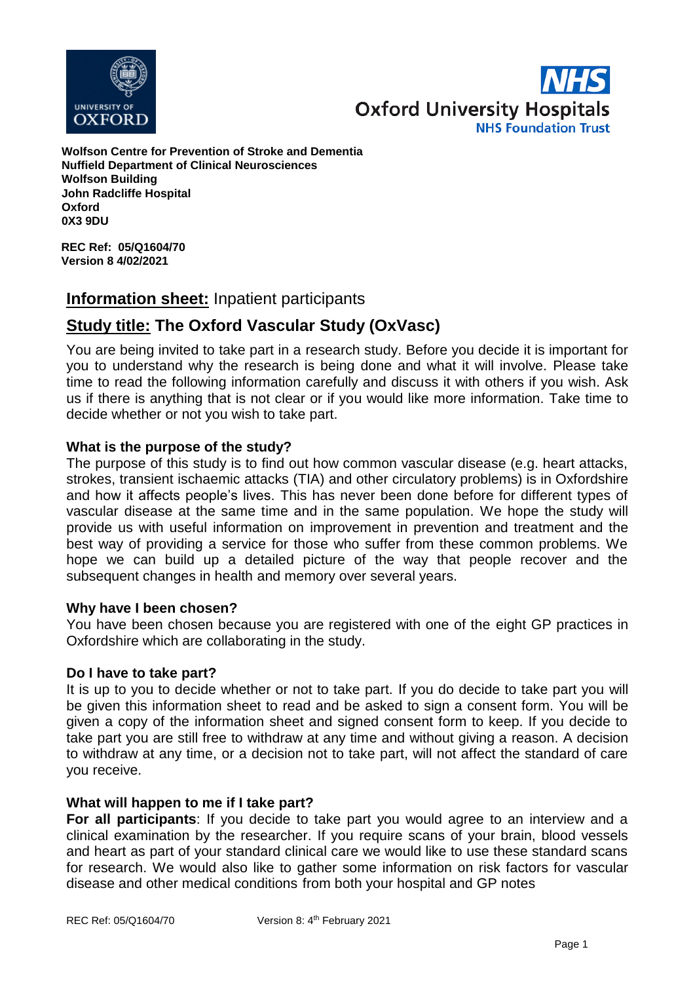



**Wolfson Centre for Prevention of Stroke and Dementia Nuffield Department of Clinical Neurosciences Wolfson Building John Radcliffe Hospital Oxford 0X3 9DU**

**REC Ref: 05/Q1604/70 Version 8 4/02/2021**

# **Information sheet:** Inpatient participants

# **Study title: The Oxford Vascular Study (OxVasc)**

You are being invited to take part in a research study. Before you decide it is important for you to understand why the research is being done and what it will involve. Please take time to read the following information carefully and discuss it with others if you wish. Ask us if there is anything that is not clear or if you would like more information. Take time to decide whether or not you wish to take part.

# **What is the purpose of the study?**

The purpose of this study is to find out how common vascular disease (e.g. heart attacks, strokes, transient ischaemic attacks (TIA) and other circulatory problems) is in Oxfordshire and how it affects people's lives. This has never been done before for different types of vascular disease at the same time and in the same population. We hope the study will provide us with useful information on improvement in prevention and treatment and the best way of providing a service for those who suffer from these common problems. We hope we can build up a detailed picture of the way that people recover and the subsequent changes in health and memory over several years.

# **Why have I been chosen?**

You have been chosen because you are registered with one of the eight GP practices in Oxfordshire which are collaborating in the study.

#### **Do I have to take part?**

It is up to you to decide whether or not to take part. If you do decide to take part you will be given this information sheet to read and be asked to sign a consent form. You will be given a copy of the information sheet and signed consent form to keep. If you decide to take part you are still free to withdraw at any time and without giving a reason. A decision to withdraw at any time, or a decision not to take part, will not affect the standard of care you receive.

# **What will happen to me if I take part?**

**For all participants**: If you decide to take part you would agree to an interview and a clinical examination by the researcher. If you require scans of your brain, blood vessels and heart as part of your standard clinical care we would like to use these standard scans for research. We would also like to gather some information on risk factors for vascular disease and other medical conditions from both your hospital and GP notes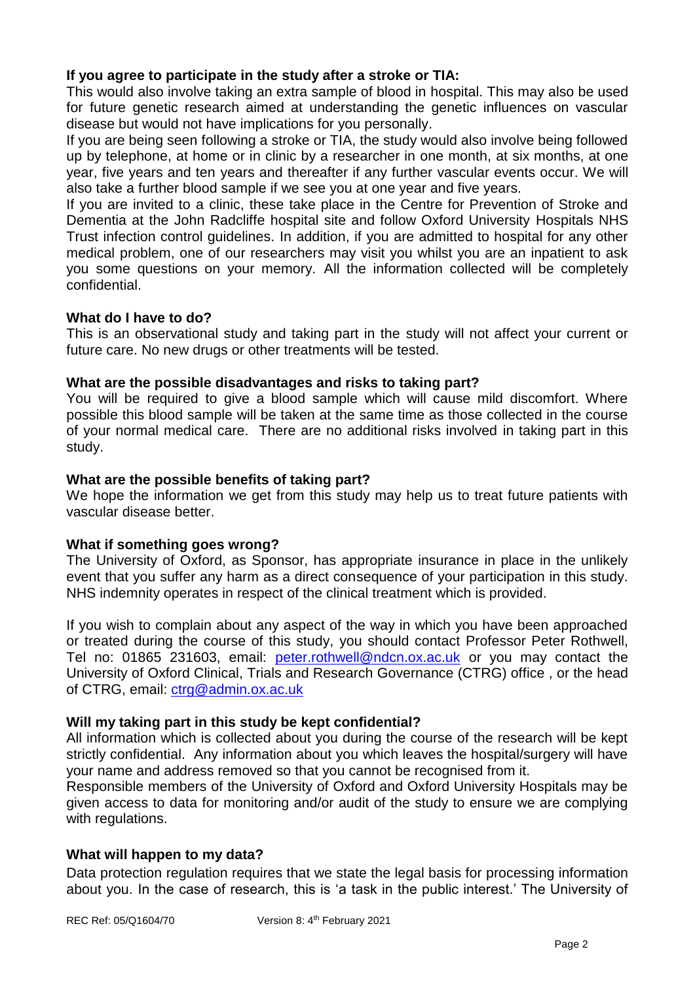# **If you agree to participate in the study after a stroke or TIA:**

This would also involve taking an extra sample of blood in hospital. This may also be used for future genetic research aimed at understanding the genetic influences on vascular disease but would not have implications for you personally.

If you are being seen following a stroke or TIA, the study would also involve being followed up by telephone, at home or in clinic by a researcher in one month, at six months, at one year, five years and ten years and thereafter if any further vascular events occur. We will also take a further blood sample if we see you at one year and five years.

If you are invited to a clinic, these take place in the Centre for Prevention of Stroke and Dementia at the John Radcliffe hospital site and follow Oxford University Hospitals NHS Trust infection control guidelines. In addition, if you are admitted to hospital for any other medical problem, one of our researchers may visit you whilst you are an inpatient to ask you some questions on your memory. All the information collected will be completely confidential.

# **What do I have to do?**

This is an observational study and taking part in the study will not affect your current or future care. No new drugs or other treatments will be tested.

#### **What are the possible disadvantages and risks to taking part?**

You will be required to give a blood sample which will cause mild discomfort. Where possible this blood sample will be taken at the same time as those collected in the course of your normal medical care. There are no additional risks involved in taking part in this study.

#### **What are the possible benefits of taking part?**

We hope the information we get from this study may help us to treat future patients with vascular disease better.

# **What if something goes wrong?**

The University of Oxford, as Sponsor, has appropriate insurance in place in the unlikely event that you suffer any harm as a direct consequence of your participation in this study. NHS indemnity operates in respect of the clinical treatment which is provided.

If you wish to complain about any aspect of the way in which you have been approached or treated during the course of this study, you should contact Professor Peter Rothwell, Tel no: 01865 231603, email: [peter.rothwell@ndcn.ox.ac.uk](mailto:peter.rothwell@ndcn.ox.ac.uk) or you may contact the University of Oxford Clinical, Trials and Research Governance (CTRG) office , or the head of CTRG, email: [ctrg@admin.ox.ac.uk](mailto:ctrg@admin.ox.ac.uk)

# **Will my taking part in this study be kept confidential?**

All information which is collected about you during the course of the research will be kept strictly confidential. Any information about you which leaves the hospital/surgery will have your name and address removed so that you cannot be recognised from it.

Responsible members of the University of Oxford and Oxford University Hospitals may be given access to data for monitoring and/or audit of the study to ensure we are complying with regulations.

# **What will happen to my data?**

Data protection regulation requires that we state the legal basis for processing information about you. In the case of research, this is 'a task in the public interest.' The University of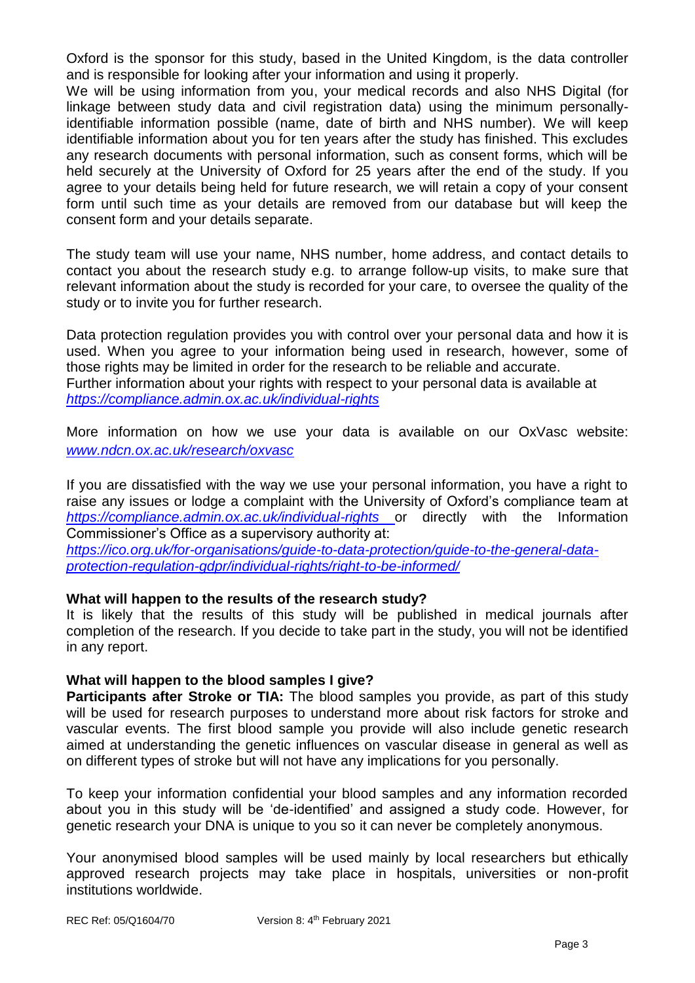Oxford is the sponsor for this study, based in the United Kingdom, is the data controller and is responsible for looking after your information and using it properly.

We will be using information from you, your medical records and also NHS Digital (for linkage between study data and civil registration data) using the minimum personallyidentifiable information possible (name, date of birth and NHS number). We will keep identifiable information about you for ten years after the study has finished. This excludes any research documents with personal information, such as consent forms, which will be held securely at the University of Oxford for 25 years after the end of the study. If you agree to your details being held for future research, we will retain a copy of your consent form until such time as your details are removed from our database but will keep the consent form and your details separate.

The study team will use your name, NHS number, home address, and contact details to contact you about the research study e.g. to arrange follow-up visits, to make sure that relevant information about the study is recorded for your care, to oversee the quality of the study or to invite you for further research.

Data protection regulation provides you with control over your personal data and how it is used. When you agree to your information being used in research, however, some of those rights may be limited in order for the research to be reliable and accurate. Further information about your rights with respect to your personal data is available at *<https://compliance.admin.ox.ac.uk/individual-rights>*

More information on how we use your data is available on our OxVasc website: *[www.ndcn.ox.ac.uk/research/oxvasc](http://www.ndcn.ox.ac.uk/research/oxvasc)*

If you are dissatisfied with the way we use your personal information, you have a right to raise any issues or lodge a complaint with the University of Oxford's compliance team at *<https://compliance.admin.ox.ac.uk/individual-rights>* or directly with the Information Commissioner's Office as a supervisory authority at:

*[https://ico.org.uk/for-organisations/guide-to-data-protection/guide-to-the-general-data](https://ico.org.uk/for-organisations/guide-to-data-protection/guide-to-the-general-data-protection-regulation-gdpr/individual-rights/right-to-be-informed/)[protection-regulation-gdpr/individual-rights/right-to-be-informed/](https://ico.org.uk/for-organisations/guide-to-data-protection/guide-to-the-general-data-protection-regulation-gdpr/individual-rights/right-to-be-informed/)*

# **What will happen to the results of the research study?**

It is likely that the results of this study will be published in medical journals after completion of the research. If you decide to take part in the study, you will not be identified in any report.

# **What will happen to the blood samples I give?**

**Participants after Stroke or TIA:** The blood samples you provide, as part of this study will be used for research purposes to understand more about risk factors for stroke and vascular events. The first blood sample you provide will also include genetic research aimed at understanding the genetic influences on vascular disease in general as well as on different types of stroke but will not have any implications for you personally.

To keep your information confidential your blood samples and any information recorded about you in this study will be 'de-identified' and assigned a study code. However, for genetic research your DNA is unique to you so it can never be completely anonymous.

Your anonymised blood samples will be used mainly by local researchers but ethically approved research projects may take place in hospitals, universities or non-profit institutions worldwide.